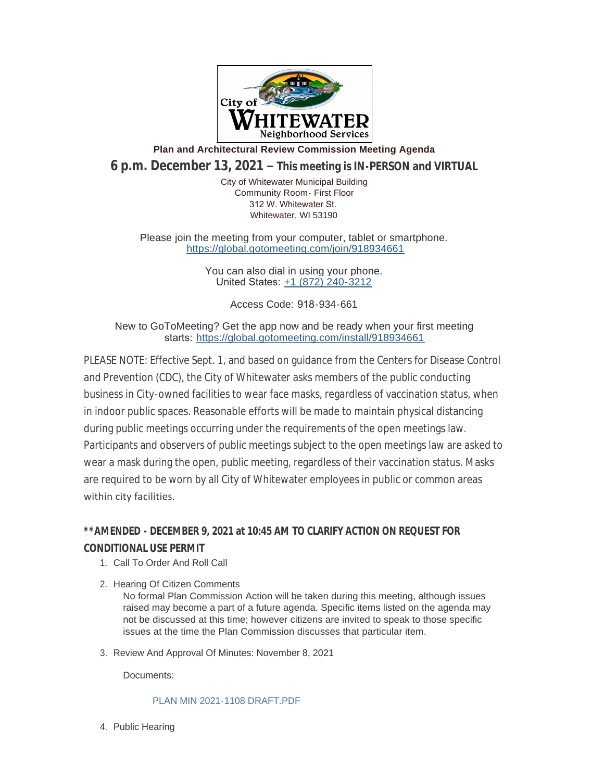

**Plan and Architectural Review Commission Meeting Agenda**

**6 p.m. December 13, 2021 – This meeting is IN-PERSON and VIRTUAL**

City of Whitewater Municipal Building Community Room- First Floor 312 W. Whitewater St. Whitewater, WI 53190

Please join the meeting from your computer, tablet or smartphone. <https://global.gotomeeting.com/join/918934661>

> You can also dial in using your phone. United States: [+1 \(872\) 240-3212](tel:+18722403212,,918934661)

> > Access Code: 918-934-661

New to GoToMeeting? Get the app now and be ready when your first meeting starts: <https://global.gotomeeting.com/install/918934661>

PLEASE NOTE: Effective Sept. 1, and based on guidance from the Centers for Disease Control and Prevention (CDC), the City of Whitewater asks members of the public conducting business in City-owned facilities to wear face masks, regardless of vaccination status, when in indoor public spaces. Reasonable efforts will be made to maintain physical distancing during public meetings occurring under the requirements of the open meetings law. Participants and observers of public meetings subject to the open meetings law are asked to wear a mask during the open, public meeting, regardless of their vaccination status. Masks are required to be worn by all City of Whitewater employees in public or common areas within city facilities.

## **\*\*AMENDED - DECEMBER 9, 2021 at 10:45 AM TO CLARIFY ACTION ON REQUEST FOR CONDITIONAL USE PERMIT**

- 1. Call To Order And Roll Call
- 2. Hearing Of Citizen Comments

No formal Plan Commission Action will be taken during this meeting, although issues raised may become a part of a future agenda. Specific items listed on the agenda may not be discussed at this time; however citizens are invited to speak to those specific issues at the time the Plan Commission discusses that particular item.

3. Review And Approval Of Minutes: November 8, 2021

Documents:

[PLAN MIN 2021-1108 DRAFT.PDF](https://www.whitewater-wi.gov/AgendaCenter/ViewFile/Item/5130?fileID=9975)

4. Public Hearing